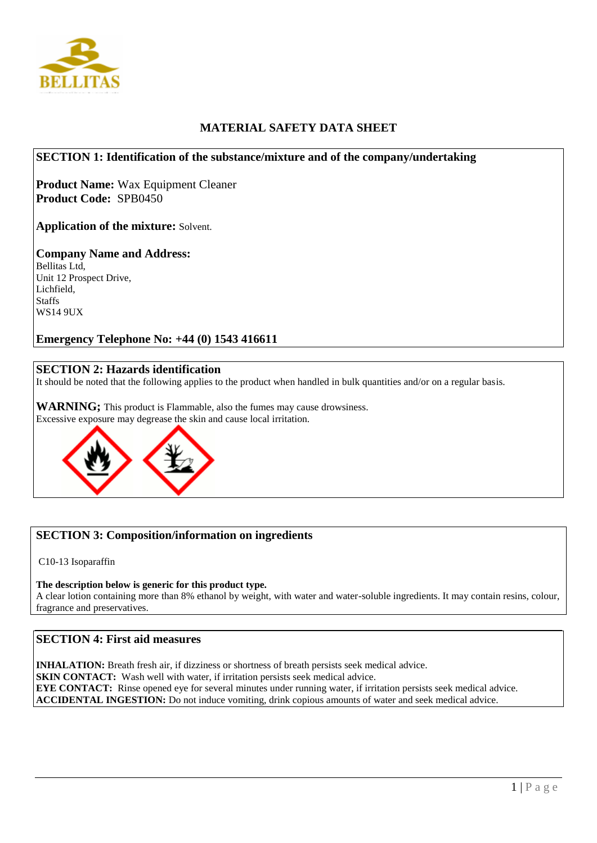

# **MATERIAL SAFETY DATA SHEET**

### **SECTION 1: Identification of the substance/mixture and of the company/undertaking**

**Product Name:** Wax Equipment Cleaner **Product Code:** SPB0450

**Application of the mixture:** Solvent.

**Company Name and Address:** Bellitas Ltd, Unit 12 Prospect Drive, Lichfield, **Staffs** WS14 9UX

**Emergency Telephone No: +44 (0) 1543 416611**

### **SECTION 2: Hazards identification**

It should be noted that the following applies to the product when handled in bulk quantities and/or on a regular basis.

**WARNING;** This product is Flammable, also the fumes may cause drowsiness. Excessive exposure may degrease the skin and cause local irritation.



## **SECTION 3: Composition/information on ingredients**

C10-13 Isoparaffin

#### **The description below is generic for this product type.**

A clear lotion containing more than 8% ethanol by weight, with water and water-soluble ingredients. It may contain resins, colour, fragrance and preservatives.

### **SECTION 4: First aid measures**

**INHALATION:** Breath fresh air, if dizziness or shortness of breath persists seek medical advice. **SKIN CONTACT:** Wash well with water, if irritation persists seek medical advice. **EYE CONTACT:** Rinse opened eye for several minutes under running water, if irritation persists seek medical advice. **ACCIDENTAL INGESTION:** Do not induce vomiting, drink copious amounts of water and seek medical advice.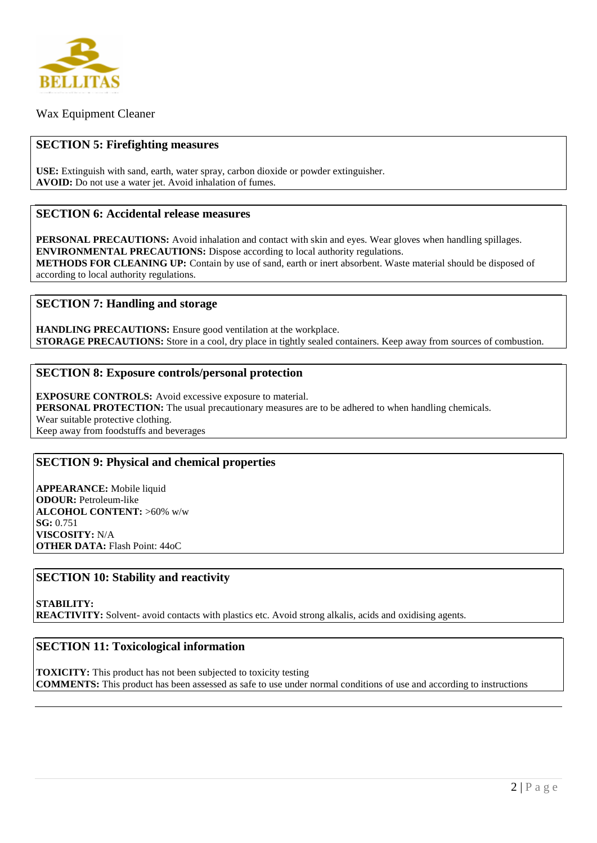

Wax Equipment Cleaner

### **SECTION 5: Firefighting measures**

**USE:** Extinguish with sand, earth, water spray, carbon dioxide or powder extinguisher. **AVOID:** Do not use a water jet. Avoid inhalation of fumes.

#### **SECTION 6: Accidental release measures**

**PERSONAL PRECAUTIONS:** Avoid inhalation and contact with skin and eyes. Wear gloves when handling spillages. **ENVIRONMENTAL PRECAUTIONS:** Dispose according to local authority regulations. **METHODS FOR CLEANING UP:** Contain by use of sand, earth or inert absorbent. Waste material should be disposed of according to local authority regulations.

#### **SECTION 7: Handling and storage**

**HANDLING PRECAUTIONS:** Ensure good ventilation at the workplace. **STORAGE PRECAUTIONS:** Store in a cool, dry place in tightly sealed containers. Keep away from sources of combustion.

#### **SECTION 8: Exposure controls/personal protection**

**EXPOSURE CONTROLS:** Avoid excessive exposure to material. **PERSONAL PROTECTION:** The usual precautionary measures are to be adhered to when handling chemicals. Wear suitable protective clothing. Keep away from foodstuffs and beverages

## **SECTION 9: Physical and chemical properties**

**APPEARANCE:** Mobile liquid **ODOUR:** Petroleum-like **ALCOHOL CONTENT:** >60% w/w **SG:** 0.751 **VISCOSITY:** N/A **OTHER DATA:** Flash Point: 44oC

## **SECTION 10: Stability and reactivity**

**STABILITY: REACTIVITY:** Solvent- avoid contacts with plastics etc. Avoid strong alkalis, acids and oxidising agents.

## **SECTION 11: Toxicological information**

**TOXICITY:** This product has not been subjected to toxicity testing **COMMENTS:** This product has been assessed as safe to use under normal conditions of use and according to instructions